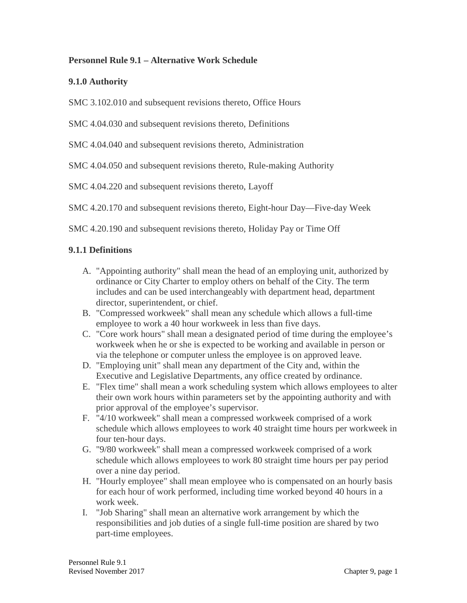### **Personnel Rule 9.1 – Alternative Work Schedule**

### **9.1.0 Authority**

SMC 3.102.010 and subsequent revisions thereto, Office Hours

SMC 4.04.030 and subsequent revisions thereto, Definitions

SMC 4.04.040 and subsequent revisions thereto, Administration

SMC 4.04.050 and subsequent revisions thereto, Rule-making Authority

SMC 4.04.220 and subsequent revisions thereto, Layoff

SMC 4.20.170 and subsequent revisions thereto, Eight-hour Day—Five-day Week

SMC 4.20.190 and subsequent revisions thereto, Holiday Pay or Time Off

### **9.1.1 Definitions**

- A. "Appointing authority" shall mean the head of an employing unit, authorized by ordinance or City Charter to employ others on behalf of the City. The term includes and can be used interchangeably with department head, department director, superintendent, or chief.
- B. "Compressed workweek" shall mean any schedule which allows a full-time employee to work a 40 hour workweek in less than five days.
- C. "Core work hours" shall mean a designated period of time during the employee's workweek when he or she is expected to be working and available in person or via the telephone or computer unless the employee is on approved leave.
- D. "Employing unit" shall mean any department of the City and, within the Executive and Legislative Departments, any office created by ordinance.
- E. "Flex time" shall mean a work scheduling system which allows employees to alter their own work hours within parameters set by the appointing authority and with prior approval of the employee's supervisor.
- F. "4/10 workweek" shall mean a compressed workweek comprised of a work schedule which allows employees to work 40 straight time hours per workweek in four ten-hour days.
- G. "9/80 workweek" shall mean a compressed workweek comprised of a work schedule which allows employees to work 80 straight time hours per pay period over a nine day period.
- H. "Hourly employee" shall mean employee who is compensated on an hourly basis for each hour of work performed, including time worked beyond 40 hours in a work week.
- I. "Job Sharing" shall mean an alternative work arrangement by which the responsibilities and job duties of a single full-time position are shared by two part-time employees.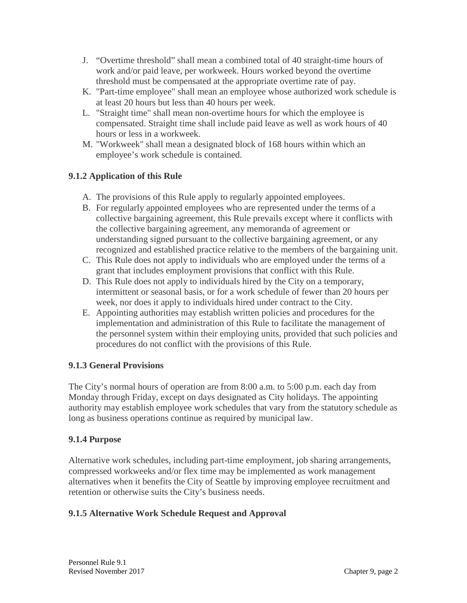- J. "Overtime threshold" shall mean a combined total of 40 straight-time hours of work and/or paid leave, per workweek. Hours worked beyond the overtime threshold must be compensated at the appropriate overtime rate of pay.
- K. "Part-time employee" shall mean an employee whose authorized work schedule is at least 20 hours but less than 40 hours per week.
- L. "Straight time" shall mean non-overtime hours for which the employee is compensated. Straight time shall include paid leave as well as work hours of 40 hours or less in a workweek.
- M. "Workweek" shall mean a designated block of 168 hours within which an employee's work schedule is contained.

# **9.1.2 Application of this Rule**

- A. The provisions of this Rule apply to regularly appointed employees.
- B. For regularly appointed employees who are represented under the terms of a collective bargaining agreement, this Rule prevails except where it conflicts with the collective bargaining agreement, any memoranda of agreement or understanding signed pursuant to the collective bargaining agreement, or any recognized and established practice relative to the members of the bargaining unit.
- C. This Rule does not apply to individuals who are employed under the terms of a grant that includes employment provisions that conflict with this Rule.
- D. This Rule does not apply to individuals hired by the City on a temporary, intermittent or seasonal basis, or for a work schedule of fewer than 20 hours per week, nor does it apply to individuals hired under contract to the City.
- E. Appointing authorities may establish written policies and procedures for the implementation and administration of this Rule to facilitate the management of the personnel system within their employing units, provided that such policies and procedures do not conflict with the provisions of this Rule.

## **9.1.3 General Provisions**

The City's normal hours of operation are from 8:00 a.m. to 5:00 p.m. each day from Monday through Friday, except on days designated as City holidays. The appointing authority may establish employee work schedules that vary from the statutory schedule as long as business operations continue as required by municipal law.

## **9.1.4 Purpose**

Alternative work schedules, including part-time employment, job sharing arrangements, compressed workweeks and/or flex time may be implemented as work management alternatives when it benefits the City of Seattle by improving employee recruitment and retention or otherwise suits the City's business needs.

## **9.1.5 Alternative Work Schedule Request and Approval**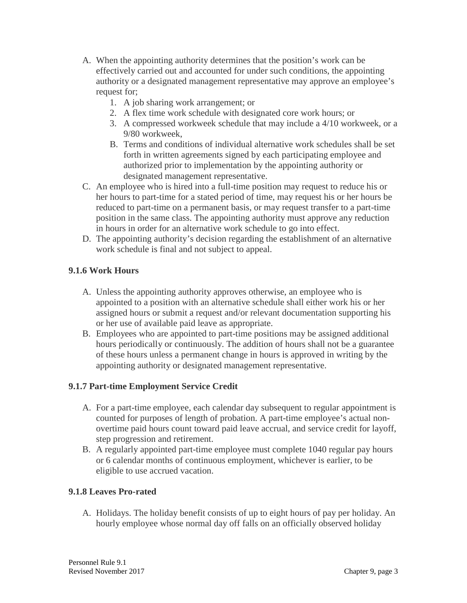- A. When the appointing authority determines that the position's work can be effectively carried out and accounted for under such conditions, the appointing authority or a designated management representative may approve an employee's request for;
	- 1. A job sharing work arrangement; or
	- 2. A flex time work schedule with designated core work hours; or
	- 3. A compressed workweek schedule that may include a 4/10 workweek, or a 9/80 workweek,
	- B. Terms and conditions of individual alternative work schedules shall be set forth in written agreements signed by each participating employee and authorized prior to implementation by the appointing authority or designated management representative.
- C. An employee who is hired into a full-time position may request to reduce his or her hours to part-time for a stated period of time, may request his or her hours be reduced to part-time on a permanent basis, or may request transfer to a part-time position in the same class. The appointing authority must approve any reduction in hours in order for an alternative work schedule to go into effect.
- D. The appointing authority's decision regarding the establishment of an alternative work schedule is final and not subject to appeal.

### **9.1.6 Work Hours**

- A. Unless the appointing authority approves otherwise, an employee who is appointed to a position with an alternative schedule shall either work his or her assigned hours or submit a request and/or relevant documentation supporting his or her use of available paid leave as appropriate.
- B. Employees who are appointed to part-time positions may be assigned additional hours periodically or continuously. The addition of hours shall not be a guarantee of these hours unless a permanent change in hours is approved in writing by the appointing authority or designated management representative.

#### **9.1.7 Part-time Employment Service Credit**

- A. For a part-time employee, each calendar day subsequent to regular appointment is counted for purposes of length of probation. A part-time employee's actual nonovertime paid hours count toward paid leave accrual, and service credit for layoff, step progression and retirement.
- B. A regularly appointed part-time employee must complete 1040 regular pay hours or 6 calendar months of continuous employment, whichever is earlier, to be eligible to use accrued vacation.

#### **9.1.8 Leaves Pro-rated**

A. Holidays. The holiday benefit consists of up to eight hours of pay per holiday. An hourly employee whose normal day off falls on an officially observed holiday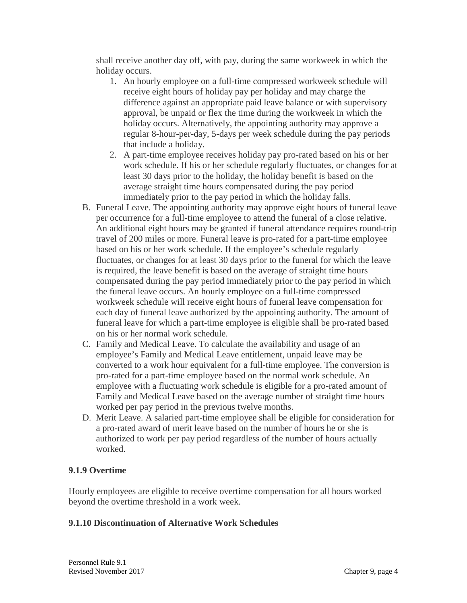shall receive another day off, with pay, during the same workweek in which the holiday occurs.

- 1. An hourly employee on a full-time compressed workweek schedule will receive eight hours of holiday pay per holiday and may charge the difference against an appropriate paid leave balance or with supervisory approval, be unpaid or flex the time during the workweek in which the holiday occurs. Alternatively, the appointing authority may approve a regular 8-hour-per-day, 5-days per week schedule during the pay periods that include a holiday.
- 2. A part-time employee receives holiday pay pro-rated based on his or her work schedule. If his or her schedule regularly fluctuates, or changes for at least 30 days prior to the holiday, the holiday benefit is based on the average straight time hours compensated during the pay period immediately prior to the pay period in which the holiday falls.
- B. Funeral Leave. The appointing authority may approve eight hours of funeral leave per occurrence for a full-time employee to attend the funeral of a close relative. An additional eight hours may be granted if funeral attendance requires round-trip travel of 200 miles or more. Funeral leave is pro-rated for a part-time employee based on his or her work schedule. If the employee's schedule regularly fluctuates, or changes for at least 30 days prior to the funeral for which the leave is required, the leave benefit is based on the average of straight time hours compensated during the pay period immediately prior to the pay period in which the funeral leave occurs. An hourly employee on a full-time compressed workweek schedule will receive eight hours of funeral leave compensation for each day of funeral leave authorized by the appointing authority. The amount of funeral leave for which a part-time employee is eligible shall be pro-rated based on his or her normal work schedule.
- C. Family and Medical Leave. To calculate the availability and usage of an employee's Family and Medical Leave entitlement, unpaid leave may be converted to a work hour equivalent for a full-time employee. The conversion is pro-rated for a part-time employee based on the normal work schedule. An employee with a fluctuating work schedule is eligible for a pro-rated amount of Family and Medical Leave based on the average number of straight time hours worked per pay period in the previous twelve months.
- D. Merit Leave. A salaried part-time employee shall be eligible for consideration for a pro-rated award of merit leave based on the number of hours he or she is authorized to work per pay period regardless of the number of hours actually worked.

#### **9.1.9 Overtime**

Hourly employees are eligible to receive overtime compensation for all hours worked beyond the overtime threshold in a work week.

#### **9.1.10 Discontinuation of Alternative Work Schedules**